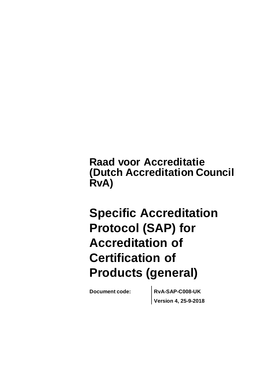**Raad voor Accreditatie (Dutch Accreditation Council RvA)**

# **Specific Accreditation Protocol (SAP) for Accreditation of Certification of Products (general)**

**Document code: RvA-SAP-C008-UK Version 4, 25-9-2018**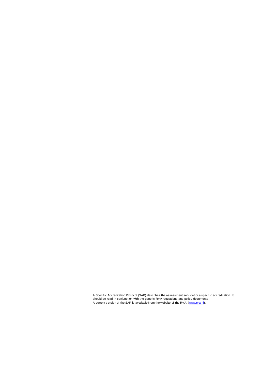$\frac{E_{\text{E}}}{\text{E}_{\text{E}}}\left( \frac{S_{\text{E}}}{\text{E}_{\text{E}}}\right)$  out of the  $\frac{S_{\text{E}}}{\text{E}_{\text{E}}}\left( \frac{S_{\text{E}}}{\text{E}_{\text{E}}}\right)$  is outpitally from the uphold of the  $\frac{S_{\text{E}}}{\text{E}_{\text{E}}}\left( \frac{S_{\text{E}}}{\text{E}_{\text{E}}}\right)$ De algementen en Toelichting de algementen en Toelichtingen zijn van toenassing op dit SAP. De algementen zijn A Specific Accreditation Protocol (SAP) describes the assessment service for a specific accreditation. It<br>should be read in conjunction with the generic Rv A regulations and policy documents. A current v ersion of the SAP is av ailable from the website of the Rv A. [\(www.rv a.nl\)](http://www.rva.nl/).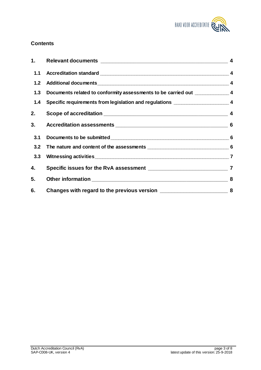

## **Contents**

| 1.  |                                                                                   |  |
|-----|-----------------------------------------------------------------------------------|--|
| 1.1 |                                                                                   |  |
| 1.2 |                                                                                   |  |
| 1.3 | Documents related to conformity assessments to be carried out ________________4   |  |
| 1.4 | Specific requirements from legislation and regulations _________________________4 |  |
| 2.  |                                                                                   |  |
| 3.  |                                                                                   |  |
| 3.1 |                                                                                   |  |
| 3.2 |                                                                                   |  |
| 3.3 |                                                                                   |  |
| 4.  |                                                                                   |  |
| 5.  |                                                                                   |  |
| 6.  |                                                                                   |  |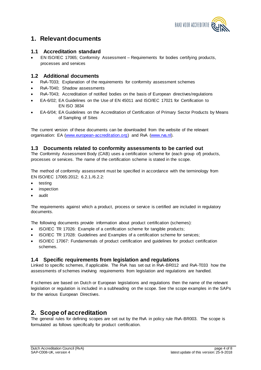

## **1. Relevant documents**

## **1.1 Accreditation standard**

 EN ISO/IEC 17065; Conformity Assessment – Requirements for bodies certifying products, processes and services

## **1.2 Additional documents**

- RvA-T033; Explanation of the requirements for conformity assessment schemes
- RvA-T040; Shadow assessments
- RvA-T043; Accreditation of notified bodies on the basis of European directives/regulations
- EA-6/02; EA Guidelines on the Use of EN 45011 and ISO/IEC 17021 for Certification to EN ISO 3834
- EA-6/04; EA Guidelines on the Accreditation of Certification of Primary Sector Products by Means of Sampling of Sites

The current version of these documents can be downloaded from the website of the relevant organisation: EA [\(www.european-accreditation.org\)](http://www.european-accreditation.org/) and RvA [\(www.rva.nl\).](http://www.rva.nl/)

#### **1.3 Documents related to conformity assessments to be carried out**

The Conformity Assessment Body (CAB) uses a certification scheme for (each group of) products, processes or services. The name of the certification scheme is stated in the scope.

The method of conformity assessment must be specified in accordance with the terminology from EN ISO/IEC 17065:2012; 6.2.1./6.2.2:

- testing
- inspection
- audit

The requirements against which a product, process or service is certified are included in regulatory documents.

The following documents provide information about product certification (schemes):

- ISO/IEC TR 17026: Example of a certification scheme for tangible products;
- ISO/IEC TR 17028: Guidelines and Examples of a certification scheme for services;
- ISO/IEC 17067: Fundamentals of product certification and guidelines for product certification schemes.

#### **1.4 Specific requirements from legislation and regulations**

Linked to specific schemes, if applicable. The RvA has set out in RvA-BR012 and RvA-T033 how the assessments of schemes involving requirements from legislation and regulations are handled.

If schemes are based on Dutch or European legislations and regulations then the name of the relevant legislation or regulation is included in a subheading on the scope. See the scope examples in the SAPs for the various European Directives.

## **2. Scope of accreditation**

The general rules for defining scopes are set out by the RvA in policy rule RvA-BR003. The scope is formulated as follows specifically for product certification.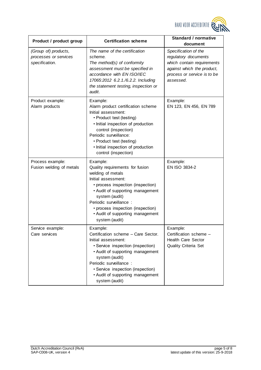

| Product / product group                                         | <b>Certification scheme</b>                                                                                                                                                                                                                                                                              | <b>Standard / normative</b><br>document                                                                                                              |
|-----------------------------------------------------------------|----------------------------------------------------------------------------------------------------------------------------------------------------------------------------------------------------------------------------------------------------------------------------------------------------------|------------------------------------------------------------------------------------------------------------------------------------------------------|
| (Group of) products,<br>processes or services<br>specification. | The name of the certification<br>scheme.<br>The method(s) of conformity<br>assessment must be specified in<br>accordance with EN ISO/IEC<br>17065:2012 6.2.1./6.2.2. Including<br>the statement testing, inspection or<br>audit.                                                                         | Specification of the<br>regulatory documents<br>which contain requirements<br>against which the product,<br>process or service is to be<br>assessed. |
| Product example:<br>Alarm products                              | Example:<br>Alarm product certification scheme<br>Initial assessment:<br>• Product test (testing)<br>· Initial inspection of production<br>control (inspection)<br>Periodic surveillance:<br>• Product test (testing)<br>· Initial inspection of production<br>control (inspection)                      | Example:<br>EN 123, EN 456, EN 789                                                                                                                   |
| Process example:<br>Fusion welding of metals                    | Example:<br>Quality requirements for fusion<br>welding of metals<br>Initial assessment:<br>• process inspection (inspection)<br>• Audit of supporting management<br>system (audit)<br>Periodic surveillance :<br>• process inspection (inspection)<br>• Audit of supporting management<br>system (audit) | Example:<br>EN ISO 3834-2                                                                                                                            |
| Service example:<br>Care services                               | Example:<br>Certification scheme - Care Sector.<br>Initial assessment:<br>· Service inspection (inspection)<br>• Audit of supporting management<br>system (audit)<br>Periodic surveillance :<br>· Service inspection (inspection)<br>• Audit of supporting management<br>system (audit)                  | Example:<br>Certification scheme -<br><b>Health Care Sector</b><br>Quality Criteria Set                                                              |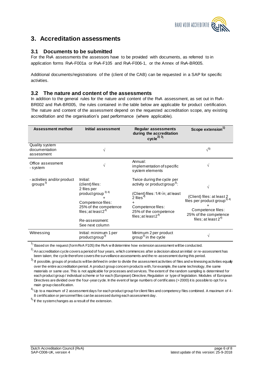

## **3. Accreditation assessments**

## **3.1 Documents to be submitted**

For the RvA assessments the assessors have to be provided with documents, as referred to in application forms RvA-F001a or RvA-F105 and RvA-F006-1, or the Annex of RvA-BR005.

Additional documents/registrations of the (client of the CAB) can be requested in a SAP for specific activities.

#### **3.2 The nature and content of the assessments**

In addition to the general rules for the nature and content of the RvA assessment, as set out in RvA-BR002 and RvA-BR005, the rules contained in the table below are applicable for product certification. The nature and content of the assessment depend on the requested accreditation scope, any existing accreditation and the organisation's past performance (where applicable).

| <b>Assessment method</b>                           | Initial assessment                                                                                                                                                                         | <b>Regular assessments</b><br>during the accreditation<br>cycle $^{2)}$ <sup>3)</sup>                                                                                                                                              | <b>Scope extension</b>                                                                                                                               |
|----------------------------------------------------|--------------------------------------------------------------------------------------------------------------------------------------------------------------------------------------------|------------------------------------------------------------------------------------------------------------------------------------------------------------------------------------------------------------------------------------|------------------------------------------------------------------------------------------------------------------------------------------------------|
| Quality system<br>documentation<br>assessment      | V                                                                                                                                                                                          |                                                                                                                                                                                                                                    | $\sqrt{5}$                                                                                                                                           |
| Office assessment<br>- system                      |                                                                                                                                                                                            | Annual:<br>implementation of specific<br>system elements                                                                                                                                                                           |                                                                                                                                                      |
| - activities and/or product<br>groups <sup>3</sup> | Initial:<br>(client) files:<br>2 files per<br>product group <sup>3) 4)</sup><br>Competence files:<br>25% of the competence<br>files; at least $2^{4}$<br>Re-assessment:<br>See next column | Twice during the cycle per<br>activity or product group <sup>3)</sup> :<br>(Client) files: $1/4\sqrt{n}$ ; at least<br>$\dot{2}$ files <sup>4)</sup><br>٠<br>Competence files:<br>25% of the competence<br>files; at least $2^{4}$ | V<br>(Client) files: at least 2<br>files per product group <sup>3) 4)</sup><br>Competence files:<br>25% of the competence<br>files; at least $2^{4}$ |
| Witnessing                                         | Initial: minimum 1 per<br>product group <sup>3)</sup>                                                                                                                                      | Minimum 2 per product<br>group <sup>3)</sup> in the cycle                                                                                                                                                                          | V                                                                                                                                                    |

 $1$ ) Based on the request (form RvA F105) the RvA w ill determine how extension assessment will be conducted.

 $^{2)}$  An accreditation cycle covers a period of four years, which commences after a decision about an initial or re-assessment has been taken; the cycle therefore covers the surveillance assessments and the re-assessment during this period.

 $^{\rm 3)}$  If possible, groups of products will be defined in order to divide the assessment activities of files and w itnessing activities equaly over the entire accreditation period. A product group concern products with, for example, the same technology, the same materials or same use. This is not applicable for processes and services. The extent of the random sampling is determined for each product group / individual scheme or for each (European) Directive, Regulation or type of legislation. Modules of European Directives are divided over the four-year cycle. In the event of large numbers of certificates (>2000) it is possible to opt for a main group classification.

 $4)$  Up to a maximum of 2 assessment days for each product group for client files and competency files combined. A maximum of 4-8 certification or personnel files can be assessed during each assessment day.

 $5$ <sup>5</sup>) If the system changes as a result of the extension.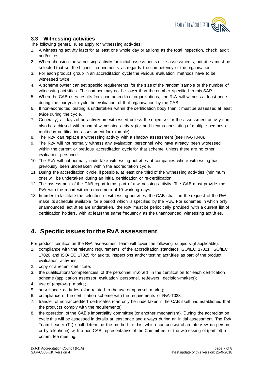

## **3.3 Witnessing activities**

The following general rules apply for witnessing activities:

- 1. A witnessing activity lasts for at least one whole day or as long as the total inspection, check, audit and/or test.
- 2. When choosing the witnessing activity for initial assessments or re-assessments, activities must be selected that set the highest requirements as regards the competency of the organisation.
- 3. For each product group in an accreditation cycle the various evaluation methods have to be witnessed twice.
- 4. A scheme owner can set specific requirements for the size of the random sample or the number of witnessing activities. The number may not be lower than the number specified in this SAP.
- 5. When the CAB uses results from non-accredited organisations, the RvA will witness at least once during the four-year cycle the evaluation of that organisation by the CAB.
- 6. If non-accredited testing is undertaken within the certification body then it must be assessed at least twice during the cycle.
- 7. Generally, all days of an activity are witnessed unless the objective for the assessment activity can also be achieved with a partial witnessing activity (for audit teams consisting of multiple persons or multi-day certification assessment for example).
- 8. The RvA can replace a witnessing activity with a shadow assessment (see RvA-T040).
- 9. The RvA will not normally witness any evaluation personnel who have already been witnessed within the current or previous accreditation cycle for that scheme, unless there are no other evaluation personnel.
- 10. The RvA will not normally undertake witnessing activities at companies where witnessing has previously been undertaken within the accreditation cycle.
- 11. During the accreditation cycle, if possible, at least one third of the witnessing activities (minimum one) will be undertaken during an initial certification or re-certification.
- 12. The assessment of the CAB report forms part of a witnessing activity. The CAB must provide the RvA with the report within a maximum of 10 working days.
- 13. In order to facilitate the selection of witnessing activities, the CAB shall, on the request of the RvA, make its schedule available for a period which is specified by the RvA. For schemes in which only unannounced activities are undertaken, the RvA must be periodically provided with a current list of certification holders, with at least the same frequency as the unannounced witnessing activities.

# **4. Specific issues for the RvA assessment**

For product certification the RvA assessment team will cover the following subjects (if applicable):

- 1. compliance with the relevant requirements of the accreditation standards ISO/IEC 17021, ISO/IEC 17020 and ISO/IEC 17025 for audits, inspections and/or testing activities as part of the product evaluation activities;
- 2. copy of a recent certificate;
- 3. the qualifications/competencies of the personnel involved in the certification for each certification scheme (application assessor, evaluation personnel, reviewers, decision-makers);
- 4. use of (approval) marks;
- 5. surveillance activities (also related to the use of approval marks);
- 6. compliance of the certification scheme with the requirements of RvA-T033;
- 7. transfer of non-accredited certificates (can only be undertaken if the CAB itself has established that the products comply with the requirements).
- 8. the operation of the CAB's impartiality committee (or another mechanism). During the accreditation cycle this will be assessed in details at least once and always during an initial assessment. The RvA Team Leader (TL) shall determine the method for this, which can consist of an interview (in person or by telephone) with a non-CAB representative of the Committee, or the witnessing of (part of) a committee meeting.